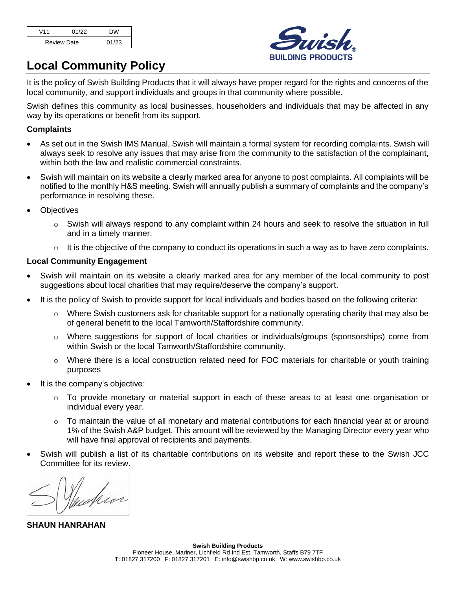| V11                | 01/22 | <b>DW</b> |
|--------------------|-------|-----------|
| <b>Review Date</b> |       | 01/23     |



## **Local Community Policy**

It is the policy of Swish Building Products that it will always have proper regard for the rights and concerns of the local community, and support individuals and groups in that community where possible.

Swish defines this community as local businesses, householders and individuals that may be affected in any way by its operations or benefit from its support.

#### **Complaints**

- As set out in the Swish IMS Manual, Swish will maintain a formal system for recording complaints. Swish will always seek to resolve any issues that may arise from the community to the satisfaction of the complainant, within both the law and realistic commercial constraints.
- Swish will maintain on its website a clearly marked area for anyone to post complaints. All complaints will be notified to the monthly H&S meeting. Swish will annually publish a summary of complaints and the company's performance in resolving these.
- **Objectives** 
	- $\circ$  Swish will always respond to any complaint within 24 hours and seek to resolve the situation in full and in a timely manner.
	- $\circ$  It is the objective of the company to conduct its operations in such a way as to have zero complaints.

#### **Local Community Engagement**

- Swish will maintain on its website a clearly marked area for any member of the local community to post suggestions about local charities that may require/deserve the company's support.
- It is the policy of Swish to provide support for local individuals and bodies based on the following criteria:
	- $\circ$  Where Swish customers ask for charitable support for a nationally operating charity that may also be of general benefit to the local Tamworth/Staffordshire community.
	- o Where suggestions for support of local charities or individuals/groups (sponsorships) come from within Swish or the local Tamworth/Staffordshire community.
	- $\circ$  Where there is a local construction related need for FOC materials for charitable or youth training purposes
- It is the company's objective:
	- $\circ$  To provide monetary or material support in each of these areas to at least one organisation or individual every year.
	- o To maintain the value of all monetary and material contributions for each financial year at or around 1% of the Swish A&P budget. This amount will be reviewed by the Managing Director every year who will have final approval of recipients and payments.
- Swish will publish a list of its charitable contributions on its website and report these to the Swish JCC Committee for its review.

**SHAUN HANRAHAN**